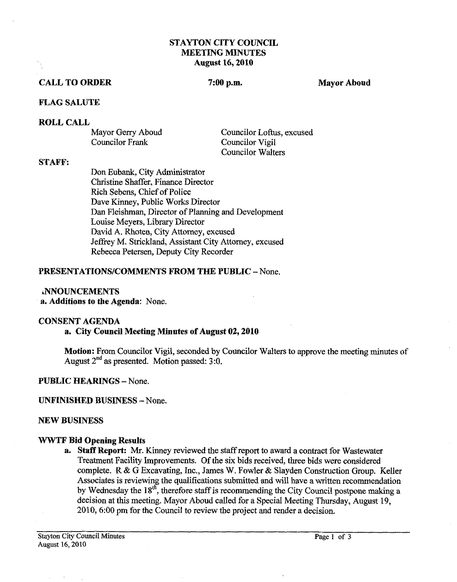#### **STAYTON CITY COUNCIL MEETING MINUTES August 16,2010**

#### **CALL TO ORDER** 7:00 p.m. Mayor Aboud

#### **FLAG SALUTE**

**ROLL CALL** 

Mayor Gerry Aboud<br>
Councilor Loftus, excused<br>
Councilor Vigil Councilor Vigil Councilor Walters

#### **STAFF:**

Don Eubank, City Administrator Christine Shaffer, Finance Director Rich Sebens, Chief of Police Dave Kinney, Public Works Director Dan Fleishman, Director of Planning and Development Louise Meyers, Library Director David A. Rhoten, City Attorney, excused Jeffrey M. Strickland, Assistant City Attorney, excused Rebecca Petersen, Deputy City Recorder

#### **PRESENTATIONS/COMMENTS FROM THE PUBLIC - None.**

#### **ANNOUNCEMENTS**

**a. Additions to the Agenda:** None.

#### **CONSENT AGENDA**

#### **a. City Council Meeting Minutes of August 02,2010**

**Motion:** From Councilor Vigil, seconded by Councilor Walters to approve the meeting minutes of August **2nd** as presented. Motion passed: **3:O.** 

#### **PUBLIC HEARINGS** - None.

#### **UNFINISHED BUSINESS** -None.

#### **NEW BUSINESS**

#### **WWTF Bid Opening Results**

**a. Staff Report: Mr.** Kinney reviewed the **staff** report to award a contract for Wastewater Treatment Facility Improvements. Of the six bids received, three bids were considered complete. R & G Excavating, Inc., James W. Fowler & Slayden Construction Group. Keller Associates is reviewing the qualifications submitted and will have a written recommendation by Wednesday the **18",** therefore staff is recommending the City Council postpone making a decision at this meeting. Mayor Aboud called for a Special Meeting Thursday, August 19, **2010,6:00** pm for the Council to review the project and render a decision.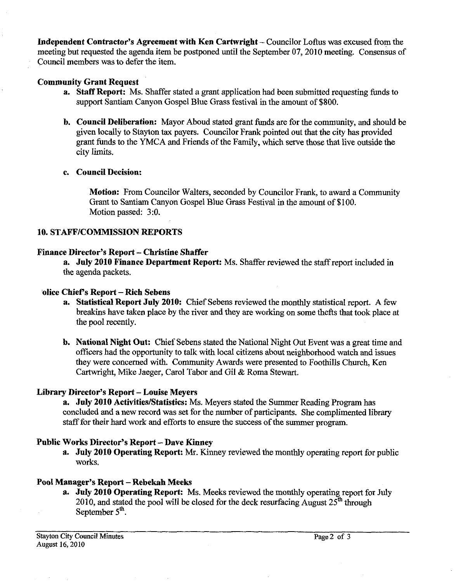**Independent Contractor's Agreement with Ken Cartwright** – Councilor Loftus was excused from the meeting but requested the agenda item be postponed until the September 07,2010 meeting. consensus of Council members was to defer the item.

## **Community Grant Request**

- **a. Staff Report:** Ms. Shaffer stated a grant application had been submitted requesting funds to support Santiam Canyon Gospel Blue Grass festival in the amount of \$800.
- **b. Council Deliberation:** Mayor Aboud stated grant funds are for the community, and should be given locally to Stayton **tax** payers. Councilor Frank pointed out that the city has provided grant funds to the YMCA and Friends of the Family, which sene those that live outside the city limits.

## **c. Council Decision:**

**Motion:** From Councilor Walters, seconded by Councilor Frank, to award a Community Grant to Santiam Canyon Gospel Blue Grass Festival in the amount of \$100. Motion passed: 3:O.

## **10. STAFF/COMMISSION REPORTS**

## **Finance Director's Report** - **Christine Shaffer**

**a. July 2010 Finance Department Report:** Ms. Shaffer reviewed the staff report included in the agenda packets.

#### **olice ChiePs Report** - **Rich Sebens**

- **a. Statistical Report July 2010:** Chief Sebens reviewed the monthly statistical report. A few breakins have taken place by the river and they are working on some thefts that took place at the pool recently.
- **b. National Night Out:** Chief Sebens stated the National Night Out Event was a great time and officers had the opportunity to talk with local citizens about neighborhood watch and issues they were concerned with. Community Awards were presented to Foothills Church, Ken Cartwright, Mike Jaeger, Carol Tabor and Gil & Roma Stewart.

# **Library Director's Report - Louise Meyers**

a. **July 2010 Activities/Statistics:** Ms. Meyers stated the Summer Reading Program has concluded and a new record was set for the number of participants. She complimented library staff for their hard work and efforts to ensure the success of the summer program.

# **Public Works Director's Report** - **Dave Kinney**

**a. July 2010 Operating Report. Mr.** Kinney reviewed the monthly operating report for public works.

# **Pool Manager's Report** - **Rebekah Meeks**

**a. July 2010 Operating Report:** Ms. Meeks reviewed the monthly operating report for July 2010, and stated the pool will be closed for the deck resurfacing August 25<sup>th</sup> through September 5<sup>th</sup>.